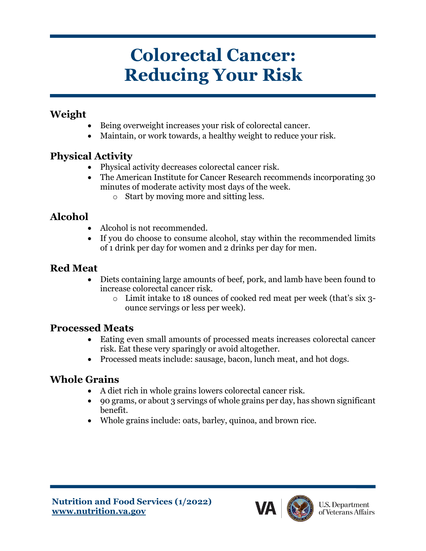# **Colorectal Cancer: Reducing Your Risk**

#### **Weight**

- Being overweight increases your risk of colorectal cancer.
- Maintain, or work towards, a healthy weight to reduce your risk.

#### **Physical Activity**

- Physical activity decreases colorectal cancer risk.
- The American Institute for Cancer Research recommends incorporating 30 minutes of moderate activity most days of the week.
	- o Start by moving more and sitting less.

## **Alcohol**

- Alcohol is not recommended.
- If you do choose to consume alcohol, stay within the recommended limits of 1 drink per day for women and 2 drinks per day for men.

### **Red Meat**

- Diets containing large amounts of beef, pork, and lamb have been found to increase colorectal cancer risk.
	- o Limit intake to 18 ounces of cooked red meat per week (that's six 3 ounce servings or less per week).

#### **Processed Meats**

- Eating even small amounts of processed meats increases colorectal cancer risk. Eat these very sparingly or avoid altogether.
- Processed meats include: sausage, bacon, lunch meat, and hot dogs.

#### **Whole Grains**

- A diet rich in whole grains lowers colorectal cancer risk.
- 90 grams, or about 3 servings of whole grains per day, has shown significant benefit.
- Whole grains include: oats, barley, quinoa, and brown rice.